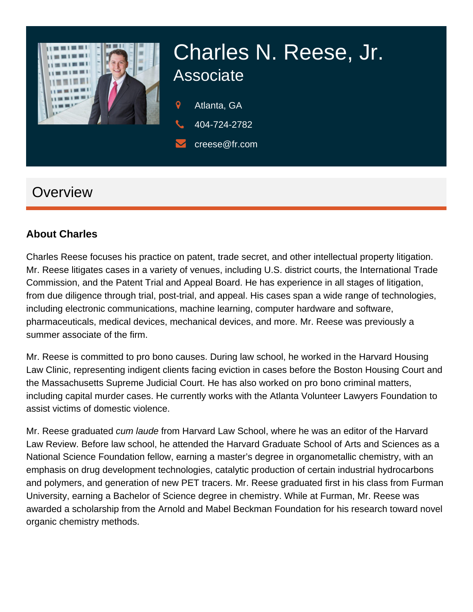

# Charles N. Reese, Jr. Associate

9 Atlanta, GA

404-724-2782

creese@fr.com

# **Overview**

#### **About Charles**

Charles Reese focuses his practice on patent, trade secret, and other intellectual property litigation. Mr. Reese litigates cases in a variety of venues, including U.S. district courts, the International Trade Commission, and the Patent Trial and Appeal Board. He has experience in all stages of litigation, from due diligence through trial, post-trial, and appeal. His cases span a wide range of technologies, including electronic communications, machine learning, computer hardware and software, pharmaceuticals, medical devices, mechanical devices, and more. Mr. Reese was previously a summer associate of the firm.

Mr. Reese is committed to pro bono causes. During law school, he worked in the Harvard Housing Law Clinic, representing indigent clients facing eviction in cases before the Boston Housing Court and the Massachusetts Supreme Judicial Court. He has also worked on pro bono criminal matters, including capital murder cases. He currently works with the Atlanta Volunteer Lawyers Foundation to assist victims of domestic violence.

Mr. Reese graduated cum laude from Harvard Law School, where he was an editor of the Harvard Law Review. Before law school, he attended the Harvard Graduate School of Arts and Sciences as a National Science Foundation fellow, earning a master's degree in organometallic chemistry, with an emphasis on drug development technologies, catalytic production of certain industrial hydrocarbons and polymers, and generation of new PET tracers. Mr. Reese graduated first in his class from Furman University, earning a Bachelor of Science degree in chemistry. While at Furman, Mr. Reese was awarded a scholarship from the Arnold and Mabel Beckman Foundation for his research toward novel organic chemistry methods.